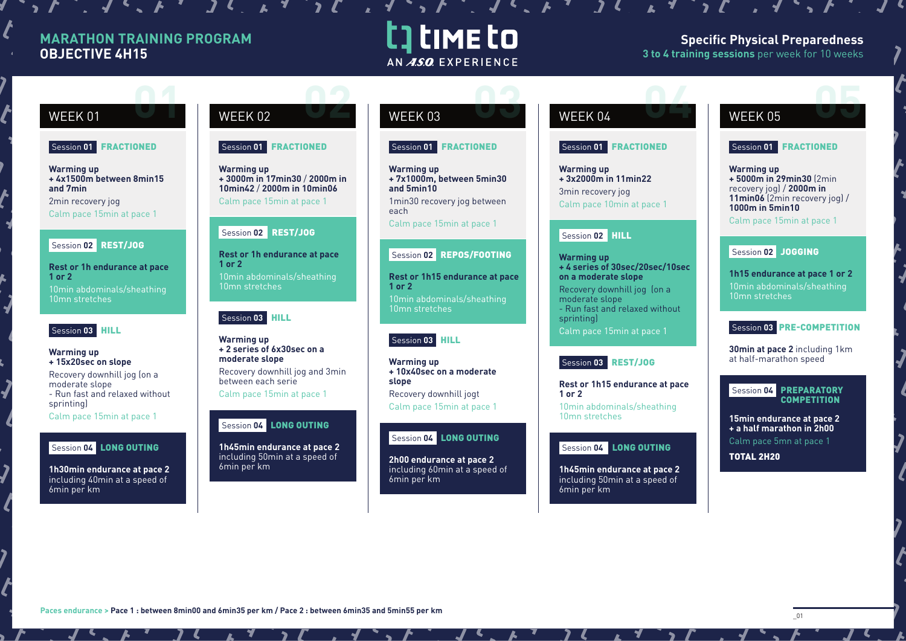## **MARATHON TRAINING PROGRAM OBJECTIVE 4H15**

# t time to AN ASO EXPERIENCE

### **Specific Physical Preparedness 3 to 4 training sessions** per week for 10 weeks

#### Session **01** FRACTIONED

**Warming up + 4x1500m between 8min15 and 7min** 2min recovery jog Calm pace 15min at pace 1

#### Session **02** REST/JOG

**Rest or 1h endurance at pace 1 or 2**  10min abdominals/sheathing 10mn stretches

#### Session **03** HILL

**Warming up + 15x20sec on slope** Recovery downhill jog (on a moderate slope - Run fast and relaxed without sprinting) Calm pace 15min at pace 1

Session **04** LONG OUTING

**1h30min endurance at pace 2**  including 40min at a speed of 6min per km

# WEEK 01 WEEK 02 WEEK 03 WEEK 04 WEEK 05 Session **01** FRACTIONED **02 0 02 03 02 03 02 03 02 03 02 03 02 04 05 05 05 05**

**Warming up + 3000m in 17min30** / **2000m in 10min42** / **2000m in 10min06** Calm pace 15min at pace 1

# Session **02** REST/JOG

**Rest or 1h endurance at pace 1 or 2**  10min abdominals/sheathing

#### Session **03** HILL

10mn stretches

**Warming up + 2 series of 6x30sec on a moderate slope**  Recovery downhill jog and 3min

between each serie Calm pace 15min at pace 1

#### Session **04** LONG OUTING

**1h45min endurance at pace 2**  including 50min at a speed of 6min per km

#### Session **01** FRACTIONED

**Warming up + 7x1000m, between 5min30 and 5min10**  1min30 recovery jog between

each Calm pace 15min at pace 1

Session **02** REPOS/FOOTING

**Rest or 1h15 endurance at pace 1 or 2**  10min abdominals/sheathing 10mn stretches

#### Session **03** HILL

**Warming up + 10x40sec on a moderate slope** Recovery downhill jogt Calm pace 15min at pace 1

#### Session **04** LONG OUTING

**2h00 endurance at pace 2** including 60min at a speed of 6min per km

#### Session **01** FRACTIONED

**Warming up + 3x2000m in 11min22**  3min recovery jog Calm pace 10min at pace 1

### Session **02** HILL

**Warming up + 4 series of 30sec/20sec/10sec on a moderate slope** Recovery downhill jog (on a moderate slope - Run fast and relaxed without sprinting) Calm pace 15min at pace 1

#### Session **03** REST/JOG

**Rest or 1h15 endurance at pace 1 or 2** 

10min abdominals/sheathing 10mn stretches

### Session **04** LONG OUTING

**1h45min endurance at pace 2**  including 50min at a speed of 6min per km

#### Session **01** FRACTIONED

**Warming up + 5000m in 29min30** (2min recovery jog) / **2000m in 11min06** (2min recovery jog) / **1000m in 5min10**

Calm pace 15min at pace 1

### Session **02** JOGGING

**1h15 endurance at pace 1 or 2** 10min abdominals/sheathing 10mn stretches

#### Session **03** PRE-COMPETITION

**30min at pace 2** including 1km at half-marathon speed

#### Session **04** PREPARATORY **COMPETITION**

**15min endurance at pace 2 + a half marathon in 2h00**  Calm pace 5mn at pace 1

TOTAL 2H20